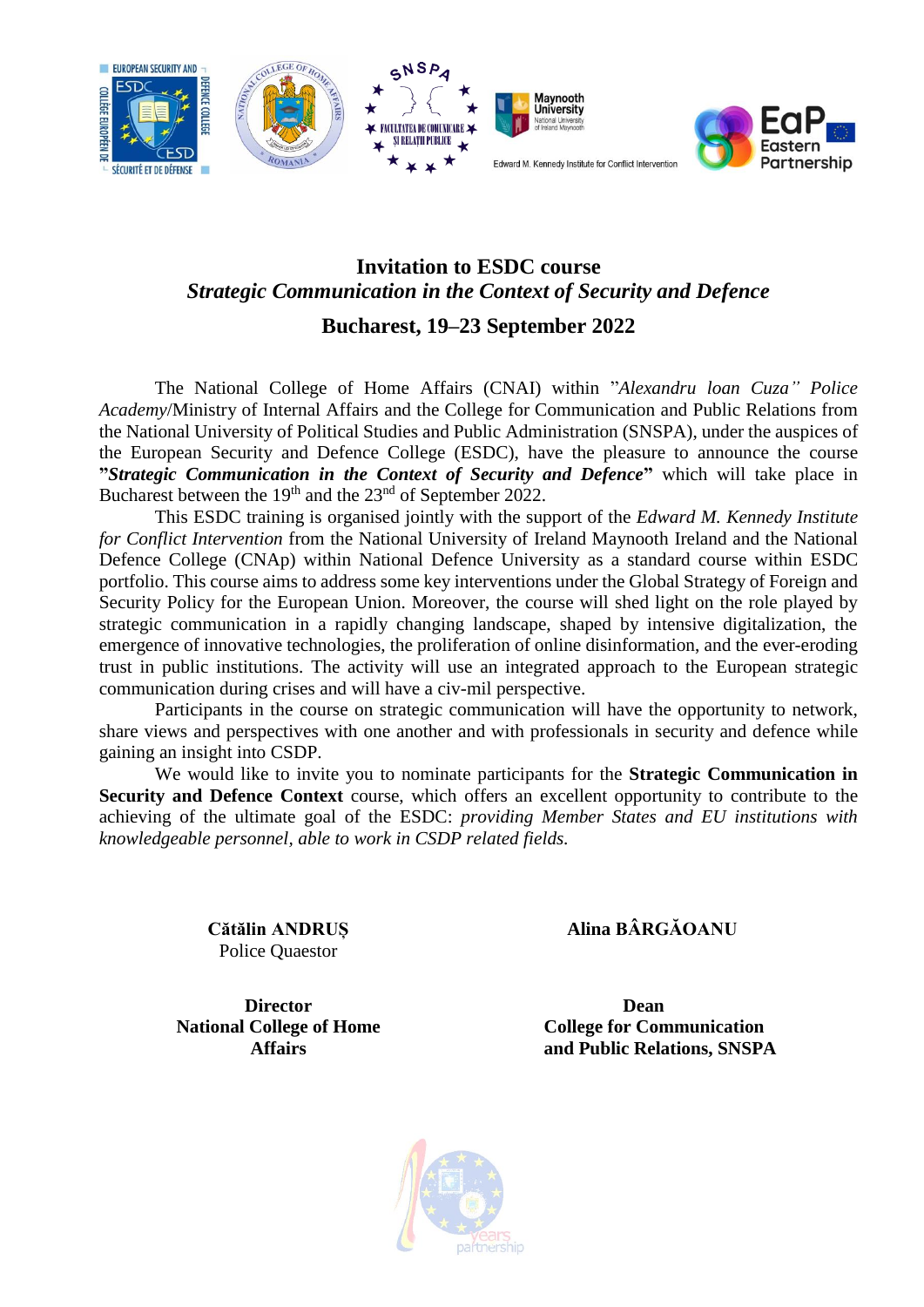

# **Invitation to ESDC course** *Strategic Communication in the Context of Security and Defence*

**Bucharest, 19–23 September 2022**

The National College of Home Affairs (CNAI) within "*Alexandru loan Cuza" Police Academy*/Ministry of Internal Affairs and the College for Communication and Public Relations from the National University of Political Studies and Public Administration (SNSPA), under the auspices of the European Security and Defence College (ESDC), have the pleasure to announce the course **"***Strategic Communication in the Context of Security and Defence***"** which will take place in Bucharest between the 19<sup>th</sup> and the 23<sup>nd</sup> of September 2022.

This ESDC training is organised jointly with the support of the *Edward M. Kennedy Institute for Conflict Intervention* from the National University of Ireland Maynooth Ireland and the National Defence College (CNAp) within National Defence University as a standard course within ESDC portfolio. This course aims to address some key interventions under the Global Strategy of Foreign and Security Policy for the European Union. Moreover, the course will shed light on the role played by strategic communication in a rapidly changing landscape, shaped by intensive digitalization, the emergence of innovative technologies, the proliferation of online disinformation, and the ever-eroding trust in public institutions. The activity will use an integrated approach to the European strategic communication during crises and will have a civ-mil perspective.

Participants in the course on strategic communication will have the opportunity to network, share views and perspectives with one another and with professionals in security and defence while gaining an insight into CSDP.

We would like to invite you to nominate participants for the **Strategic Communication in Security and Defence Context** course, which offers an excellent opportunity to contribute to the achieving of the ultimate goal of the ESDC: *providing Member States and EU institutions with knowledgeable personnel, able to work in CSDP related fields.*

> **Cătălin ANDRUȘ** Police Quaestor

 **Alina BÂRGĂOANU**

**Director National College of Home Affairs**

 **Dean College for Communication and Public Relations, SNSPA**

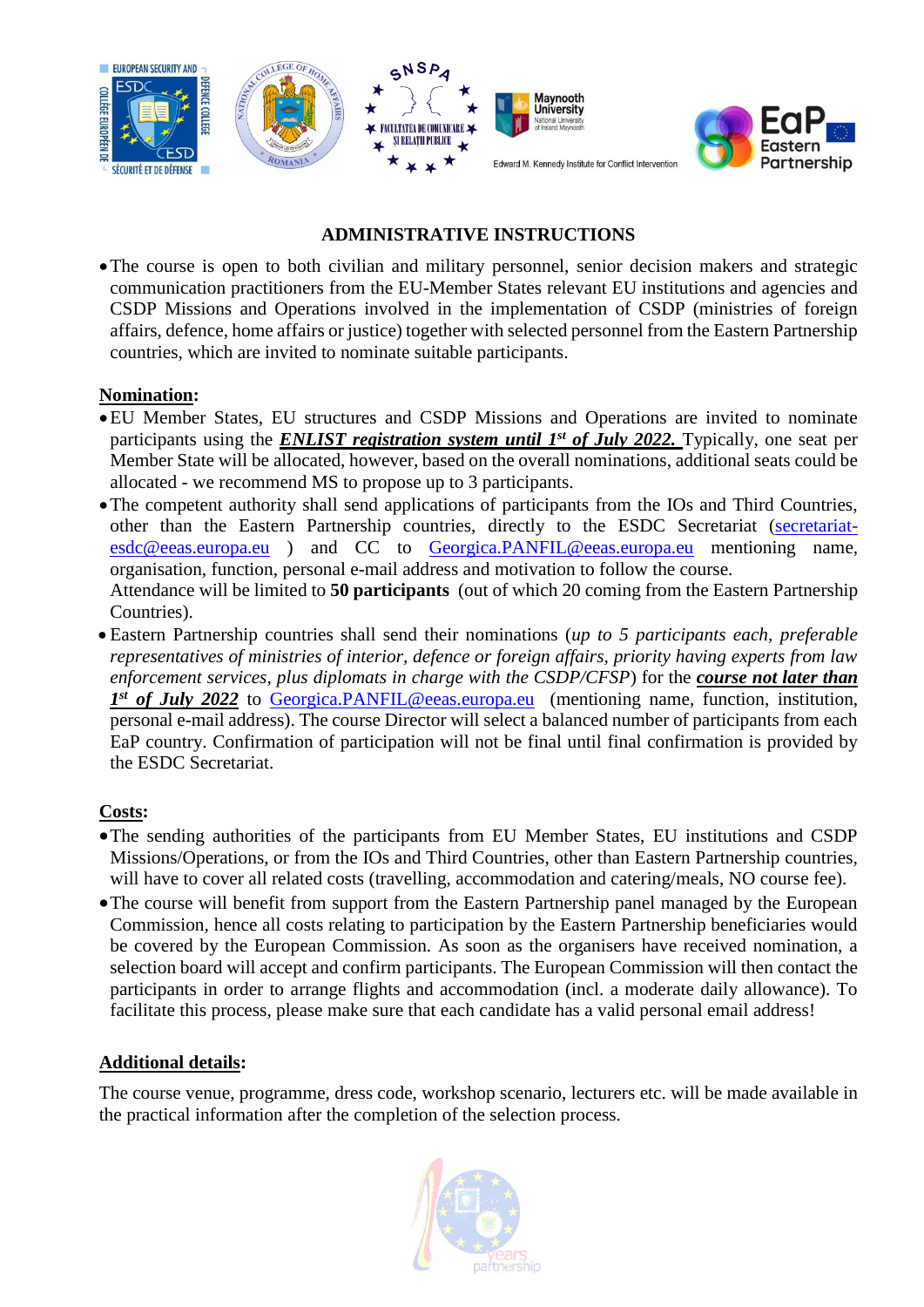

## **ADMINISTRATIVE INSTRUCTIONS**

Partnership

•The course is open to both civilian and military personnel, senior decision makers and strategic communication practitioners from the EU-Member States relevant EU institutions and agencies and CSDP Missions and Operations involved in the implementation of CSDP (ministries of foreign affairs, defence, home affairs or justice) together with selected personnel from the Eastern Partnership countries, which are invited to nominate suitable participants.

#### **Nomination:**

- •EU Member States, EU structures and CSDP Missions and Operations are invited to nominate participants using the *ENLIST registration system until 1st of July 2022.* Typically, one seat per Member State will be allocated, however, based on the overall nominations, additional seats could be allocated - we recommend MS to propose up to 3 participants.
- •The competent authority shall send applications of participants from the IOs and Third Countries, other than the Eastern Partnership countries, directly to the ESDC Secretariat [\(secretariat](mailto:secretariat-esdc@eeas.europa.eu)[esdc@eeas.europa.eu](mailto:secretariat-esdc@eeas.europa.eu) ) and CC to [Georgica.PANFIL@eeas.europa.eu](mailto:Georgica.PANFIL@eeas.europa.eu) mentioning name, organisation, function, personal e-mail address and motivation to follow the course. Attendance will be limited to **50 participants** (out of which 20 coming from the Eastern Partnership Countries).
- Eastern Partnership countries shall send their nominations (*up to 5 participants each, preferable representatives of ministries of interior, defence or foreign affairs, priority having experts from law enforcement services, plus diplomats in charge with the CSDP/CFSP*) for the *course not later than*  1<sup>st</sup> of July 2022 to [Georgica.PANFIL@eeas.europa.eu](mailto:Horatius.GARBAN@eeas.europa.eu) (mentioning name, function, institution, personal e-mail address). The course Director will select a balanced number of participants from each EaP country. Confirmation of participation will not be final until final confirmation is provided by the ESDC Secretariat.

#### **Costs:**

- •The sending authorities of the participants from EU Member States, EU institutions and CSDP Missions/Operations, or from the IOs and Third Countries, other than Eastern Partnership countries, will have to cover all related costs (travelling, accommodation and catering/meals, NO course fee).
- •The course will benefit from support from the Eastern Partnership panel managed by the European Commission, hence all costs relating to participation by the Eastern Partnership beneficiaries would be covered by the European Commission. As soon as the organisers have received nomination, a selection board will accept and confirm participants. The European Commission will then contact the participants in order to arrange flights and accommodation (incl. a moderate daily allowance). To facilitate this process, please make sure that each candidate has a valid personal email address!

#### **Additional details:**

The course venue, programme, dress code, workshop scenario, lecturers etc. will be made available in the practical information after the completion of the selection process.

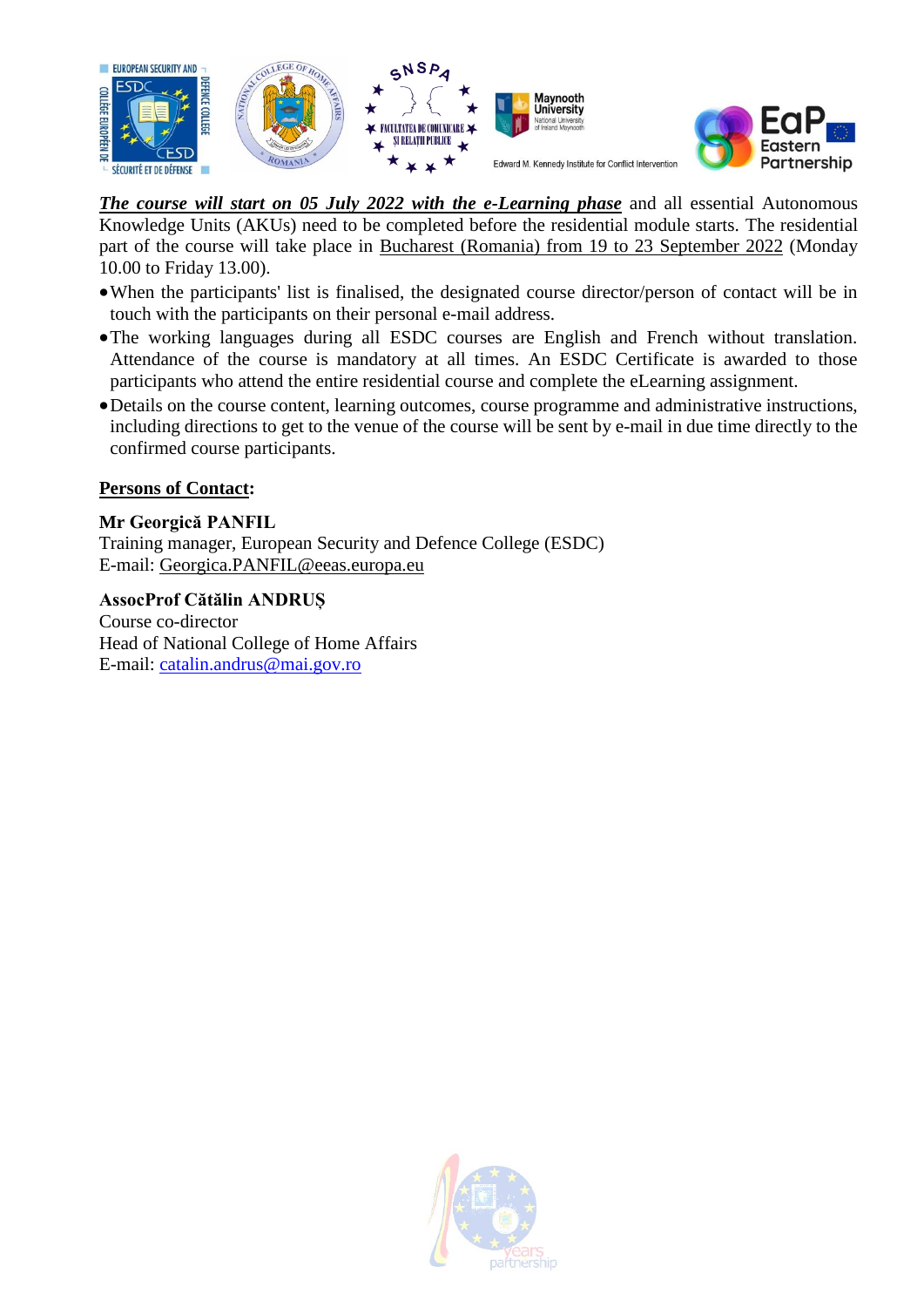



*The course will start on 05 July 2022 with the e-Learning phase* and all essential Autonomous Knowledge Units (AKUs) need to be completed before the residential module starts. The residential part of the course will take place in Bucharest (Romania) from 19 to 23 September 2022 (Monday 10.00 to Friday 13.00).

- •When the participants' list is finalised, the designated course director/person of contact will be in touch with the participants on their personal e-mail address.
- •The working languages during all ESDC courses are English and French without translation. Attendance of the course is mandatory at all times. An ESDC Certificate is awarded to those participants who attend the entire residential course and complete the eLearning assignment.
- •Details on the course content, learning outcomes, course programme and administrative instructions, including directions to get to the venue of the course will be sent by e-mail in due time directly to the confirmed course participants.

### **Persons of Contact:**

#### **Mr Georgică PANFIL**

Training manager, European Security and Defence College (ESDC) E-mail: [Georgica.PANFIL@eeas.europa.eu](mailto:Horatius.GARBAN@eeas.europa.eu)

**AssocProf Cătălin ANDRUȘ** Course co-director Head of National College of Home Affairs E-mail: [catalin.andrus@mai.gov.ro](mailto:catalin.andrus@mai.gov.ro.)